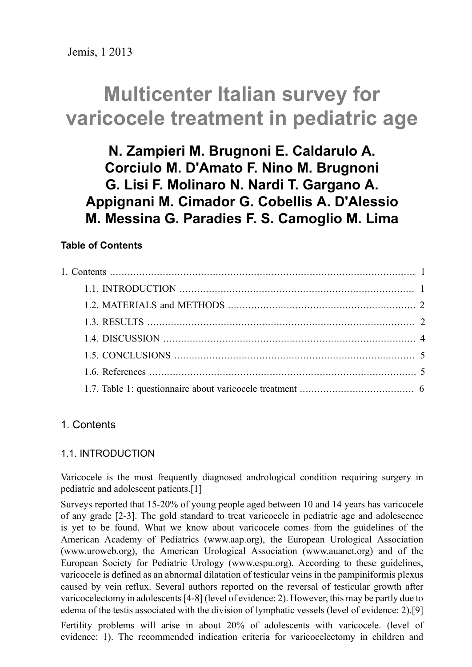# **Multicenter Italian survey for varicocele treatment in pediatric age**

**N. Zampieri M. Brugnoni E. Caldarulo A. Corciulo M. D'Amato F. Nino M. Brugnoni G. Lisi F. Molinaro N. Nardi T. Gargano A. Appignani M. Cimador G. Cobellis A. D'Alessio M. Messina G. Paradies F. S. Camoglio M. Lima**

# **Table of Contents**

# <span id="page-0-1"></span><span id="page-0-0"></span>1. Contents

## 1.1. INTRODUCTION

Varicocele is the most frequently diagnosed andrological condition requiring surgery in pediatric and adolescent patients.[1]

Surveys reported that 15-20% of young people aged between 10 and 14 years has varicocele of any grade [2-3]. The gold standard to treat varicocele in pediatric age and adolescence is yet to be found. What we know about varicocele comes from the guidelines of the American Academy of Pediatrics ([www.aap.org\)](http://www.aap.org), the European Urological Association [\(www.uroweb.org](http://www.uroweb.org)), the American Urological Association [\(www.auanet.org](http://%28www.auanet.org)) and of the European Society for Pediatric Urology ([www.espu.org](http://www.espu.org)). According to these guidelines, varicocele is defined as an abnormal dilatation of testicular veins in the pampiniformis plexus caused by vein reflux. Several authors reported on the reversal of testicular growth after varicocelectomy in adolescents[4-8] (level of evidence: 2). However, this may be partly due to edema of the testis associated with the division of lymphatic vessels (level of evidence: 2).[9] Fertility problems will arise in about 20% of adolescents with varicocele. (level of

evidence: 1). The recommended indication criteria for varicocelectomy in children and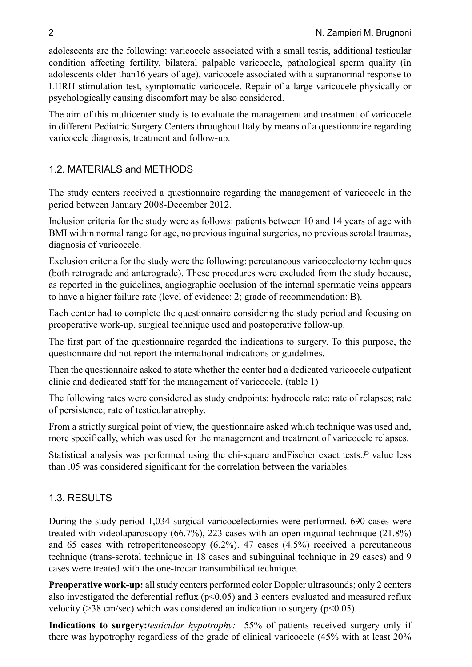adolescents are the following: varicocele associated with a small testis, additional testicular condition affecting fertility, bilateral palpable varicocele, pathological sperm quality (in adolescents older than16 years of age), varicocele associated with a supranormal response to LHRH stimulation test, symptomatic varicocele. Repair of a large varicocele physically or psychologically causing discomfort may be also considered.

The aim of this multicenter study is to evaluate the management and treatment of varicocele in different Pediatric Surgery Centers throughout Italy by means of a questionnaire regarding varicocele diagnosis, treatment and follow-up.

## <span id="page-1-0"></span>1.2. MATERIALS and METHODS

The study centers received a questionnaire regarding the management of varicocele in the period between January 2008-December 2012.

Inclusion criteria for the study were as follows: patients between 10 and 14 years of age with BMI within normal range for age, no previous inguinal surgeries, no previous scrotal traumas, diagnosis of varicocele.

Exclusion criteria for the study were the following: percutaneous varicocelectomy techniques (both retrograde and anterograde). These procedures were excluded from the study because, as reported in the guidelines, angiographic occlusion of the internal spermatic veins appears to have a higher failure rate (level of evidence: 2; grade of recommendation: B).

Each center had to complete the questionnaire considering the study period and focusing on preoperative work-up, surgical technique used and postoperative follow-up.

The first part of the questionnaire regarded the indications to surgery. To this purpose, the questionnaire did not report the international indications or guidelines.

Then the questionnaire asked to state whether the center had a dedicated varicocele outpatient clinic and dedicated staff for the management of varicocele. (table 1)

The following rates were considered as study endpoints: hydrocele rate; rate of relapses; rate of persistence; rate of testicular atrophy.

From a strictly surgical point of view, the questionnaire asked which technique was used and, more specifically, which was used for the management and treatment of varicocele relapses.

Statistical analysis was performed using the chi-square andFischer exact tests.*P* value less than .05 was considered significant for the correlation between the variables.

### <span id="page-1-1"></span>1.3. RESULTS

During the study period 1,034 surgical varicocelectomies were performed. 690 cases were treated with videolaparoscopy (66.7%), 223 cases with an open inguinal technique (21.8%) and 65 cases with retroperitoneoscopy  $(6.2\%)$ . 47 cases  $(4.5\%)$  received a percutaneous technique (trans-scrotal technique in 18 cases and subinguinal technique in 29 cases) and 9 cases were treated with the one-trocar transumbilical technique.

**Preoperative work-up:** all study centers performed color Doppler ultrasounds; only 2 centers also investigated the deferential reflux ( $p<0.05$ ) and 3 centers evaluated and measured reflux velocity ( $>$ 38 cm/sec) which was considered an indication to surgery ( $p$ <0.05).

**Indications to surgery:***testicular hypotrophy:* 55% of patients received surgery only if there was hypotrophy regardless of the grade of clinical varicocele (45% with at least 20%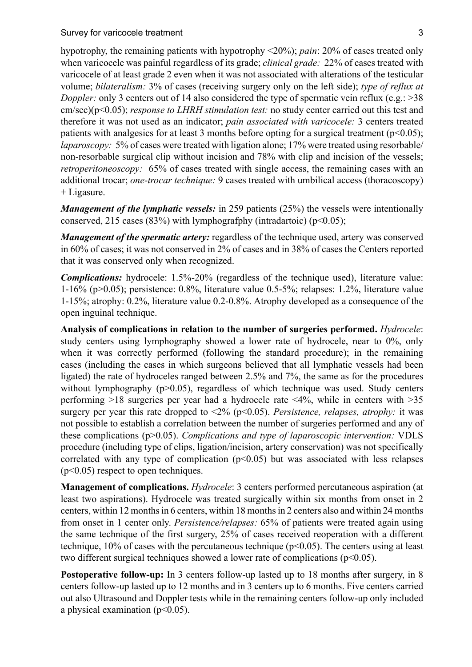hypotrophy, the remaining patients with hypotrophy <20%); *pain*: 20% of cases treated only when varicocele was painful regardless of its grade; *clinical grade:* 22% of cases treated with varicocele of at least grade 2 even when it was not associated with alterations of the testicular volume; *bilateralism:* 3% of cases (receiving surgery only on the left side); *type of reflux at Doppler:* only 3 centers out of 14 also considered the type of spermatic vein reflux (e.g.: >38 cm/sec)(p<0.05); *response to LHRH stimulation test:* no study center carried out this test and therefore it was not used as an indicator; *pain associated with varicocele:* 3 centers treated patients with analgesics for at least 3 months before opting for a surgical treatment ( $p<0.05$ ); *laparoscopy:* 5% of cases were treated with ligation alone; 17% were treated using resorbable/ non-resorbable surgical clip without incision and 78% with clip and incision of the vessels; *retroperitoneoscopy:* 65% of cases treated with single access, the remaining cases with an additional trocar; *one-trocar technique:* 9 cases treated with umbilical access (thoracoscopy) + Ligasure.

*Management of the lymphatic vessels:* in 259 patients (25%) the vessels were intentionally conserved, 215 cases (83%) with lymphografphy (intradartoic) ( $p$ <0.05);

*Management of the spermatic artery:* regardless of the technique used, artery was conserved in 60% of cases; it was not conserved in 2% of cases and in 38% of cases the Centers reported that it was conserved only when recognized.

*Complications:* hydrocele: 1.5%-20% (regardless of the technique used), literature value: 1-16% (p>0.05); persistence: 0.8%, literature value 0.5-5%; relapses: 1.2%, literature value 1-15%; atrophy: 0.2%, literature value 0.2-0.8%. Atrophy developed as a consequence of the open inguinal technique.

**Analysis of complications in relation to the number of surgeries performed.** *Hydrocele*: study centers using lymphography showed a lower rate of hydrocele, near to 0%, only when it was correctly performed (following the standard procedure); in the remaining cases (including the cases in which surgeons believed that all lymphatic vessels had been ligated) the rate of hydroceles ranged between 2.5% and 7%, the same as for the procedures without lymphography  $(p>0.05)$ , regardless of which technique was used. Study centers performing >18 surgeries per year had a hydrocele rate <4%, while in centers with >35 surgery per year this rate dropped to  $\langle 2\% (p\leq 0.05)$ . *Persistence, relapses, atrophy:* it was not possible to establish a correlation between the number of surgeries performed and any of these complications (p>0.05). *Complications and type of laparoscopic intervention:* VDLS procedure (including type of clips, ligation/incision, artery conservation) was not specifically correlated with any type of complication  $(p<0.05)$  but was associated with less relapses (p<0.05) respect to open techniques.

**Management of complications.** *Hydrocele*: 3 centers performed percutaneous aspiration (at least two aspirations). Hydrocele was treated surgically within six months from onset in 2 centers, within 12 months in 6 centers, within 18 months in 2 centers also and within 24 months from onset in 1 center only. *Persistence/relapses:* 65% of patients were treated again using the same technique of the first surgery, 25% of cases received reoperation with a different technique,  $10\%$  of cases with the percutaneous technique ( $p<0.05$ ). The centers using at least two different surgical techniques showed a lower rate of complications ( $p<0.05$ ).

**Postoperative follow-up:** In 3 centers follow-up lasted up to 18 months after surgery, in 8 centers follow-up lasted up to 12 months and in 3 centers up to 6 months. Five centers carried out also Ultrasound and Doppler tests while in the remaining centers follow-up only included a physical examination  $(p<0.05)$ .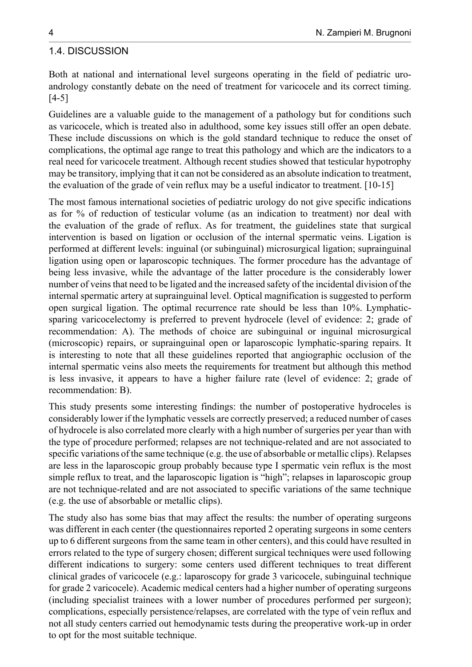#### <span id="page-3-0"></span>1.4. DISCUSSION

Both at national and international level surgeons operating in the field of pediatric uroandrology constantly debate on the need of treatment for varicocele and its correct timing. [4-5]

Guidelines are a valuable guide to the management of a pathology but for conditions such as varicocele, which is treated also in adulthood, some key issues still offer an open debate. These include discussions on which is the gold standard technique to reduce the onset of complications, the optimal age range to treat this pathology and which are the indicators to a real need for varicocele treatment. Although recent studies showed that testicular hypotrophy may be transitory, implying that it can not be considered as an absolute indication to treatment, the evaluation of the grade of vein reflux may be a useful indicator to treatment. [10-15]

The most famous international societies of pediatric urology do not give specific indications as for % of reduction of testicular volume (as an indication to treatment) nor deal with the evaluation of the grade of reflux. As for treatment, the guidelines state that surgical intervention is based on ligation or occlusion of the internal spermatic veins. Ligation is performed at different levels: inguinal (or subinguinal) microsurgical ligation; suprainguinal ligation using open or laparoscopic techniques. The former procedure has the advantage of being less invasive, while the advantage of the latter procedure is the considerably lower number of veins that need to be ligated and the increased safety of the incidental division of the internal spermatic artery at suprainguinal level. Optical magnification is suggested to perform open surgical ligation. The optimal recurrence rate should be less than 10%. Lymphaticsparing varicocelectomy is preferred to prevent hydrocele (level of evidence: 2; grade of recommendation: A). The methods of choice are subinguinal or inguinal microsurgical (microscopic) repairs, or suprainguinal open or laparoscopic lymphatic-sparing repairs. It is interesting to note that all these guidelines reported that angiographic occlusion of the internal spermatic veins also meets the requirements for treatment but although this method is less invasive, it appears to have a higher failure rate (level of evidence: 2; grade of recommendation: B).

This study presents some interesting findings: the number of postoperative hydroceles is considerably lower if the lymphatic vessels are correctly preserved; a reduced number of cases of hydrocele is also correlated more clearly with a high number of surgeries per year than with the type of procedure performed; relapses are not technique-related and are not associated to specific variations of the same technique (e.g. the use of absorbable or metallic clips). Relapses are less in the laparoscopic group probably because type I spermatic vein reflux is the most simple reflux to treat, and the laparoscopic ligation is "high"; relapses in laparoscopic group are not technique-related and are not associated to specific variations of the same technique (e.g. the use of absorbable or metallic clips).

The study also has some bias that may affect the results: the number of operating surgeons was different in each center (the questionnaires reported 2 operating surgeons in some centers up to 6 different surgeons from the same team in other centers), and this could have resulted in errors related to the type of surgery chosen; different surgical techniques were used following different indications to surgery: some centers used different techniques to treat different clinical grades of varicocele (e.g.: laparoscopy for grade 3 varicocele, subinguinal technique for grade 2 varicocele). Academic medical centers had a higher number of operating surgeons (including specialist trainees with a lower number of procedures performed per surgeon); complications, especially persistence/relapses, are correlated with the type of vein reflux and not all study centers carried out hemodynamic tests during the preoperative work-up in order to opt for the most suitable technique.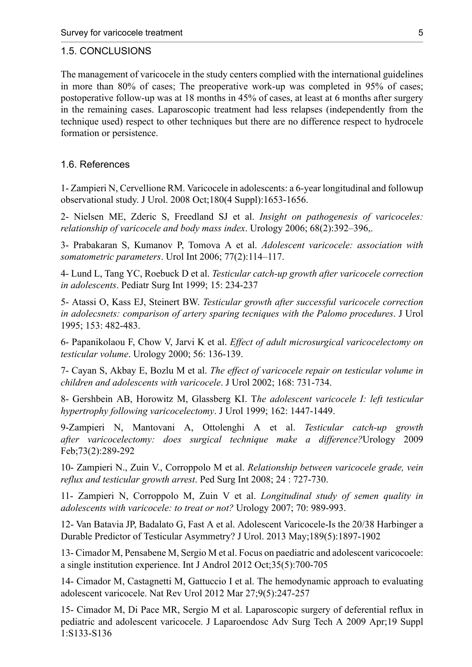#### <span id="page-4-0"></span>1.5. CONCLUSIONS

The management of varicocele in the study centers complied with the international guidelines in more than 80% of cases; The preoperative work-up was completed in 95% of cases; postoperative follow-up was at 18 months in 45% of cases, at least at 6 months after surgery in the remaining cases. Laparoscopic treatment had less relapses (independently from the technique used) respect to other techniques but there are no difference respect to hydrocele formation or persistence.

#### <span id="page-4-1"></span>1.6. References

1- Zampieri N, Cervellione RM. Varicocele in [adolescents:](http://www.ncbi.nlm.nih.gov/pubmed/18715592) a 6-year longitudinal and followup [observational](http://www.ncbi.nlm.nih.gov/pubmed/18715592) study. J Urol. 2008 Oct;180(4 Suppl):1653-1656.

2- Nielsen ME, Zderic S, Freedland SJ et al. *Insight on pathogenesis of varicoceles: relationship of varicocele and body mass index*. Urology 2006; 68(2):392–396,.

3- Prabakaran S, Kumanov P, Tomova A et al. *Adolescent varicocele: association with somatometric parameters*. Urol Int 2006; 77(2):114–117.

4- Lund L, Tang YC, Roebuck D et al. *Testicular catch-up growth after varicocele correction in adolescents*. Pediatr Surg Int 1999; 15: 234-237

5- Atassi O, Kass EJ, Steinert BW. *Testicular growth after successful varicocele correction in adolecsnets: comparison of artery sparing tecniques with the Palomo procedures*. J Urol 1995; 153: 482-483.

6- Papanikolaou F, Chow V, Jarvi K et al. *Effect of adult microsurgical varicocelectomy on testicular volume*. Urology 2000; 56: 136-139.

7- Cayan S, Akbay E, Bozlu M et al. *The effect of varicocele repair on testicular volume in children and adolescents with varicocele*. J Urol 2002; 168: 731-734.

8- Gershbein AB, Horowitz M, Glassberg KI. T*he adolescent varicocele I: left testicular hypertrophy following varicocelectomy*. J Urol 1999; 162: 1447-1449.

9[-Zampieri N](http://www.ncbi.nlm.nih.gov/pubmed?term=Zampieri%20N%5BAuthor%5D&cauthor=true&cauthor_uid=18817958), [Mantovani A,](http://www.ncbi.nlm.nih.gov/pubmed?term=Mantovani%20A%5BAuthor%5D&cauthor=true&cauthor_uid=18817958) [Ottolenghi A](http://www.ncbi.nlm.nih.gov/pubmed?term=Ottolenghi%20A%5BAuthor%5D&cauthor=true&cauthor_uid=18817958) et al. *Testicular catch-up growth after varicocelectomy: does surgical technique make a difference?*[Urology](http://www.ncbi.nlm.nih.gov/pubmed/?term=varicocele+and+testicular+catch+up+zampieri) 2009 Feb;73(2):289-292

10- Zampieri N., Zuin V., Corroppolo M et al. *Relationship between varicocele grade, vein reflux and testicular growth arrest*. Ped Surg Int 2008; 24 : 727-730.

11- Zampieri N, Corroppolo M, Zuin V et al. *Longitudinal study of semen quality in adolescents with varicocele: to treat or not?* Urology 2007; 70: 989-993.

12- Van Batavia JP, Badalato G, Fast A et al. Adolescent [Varicocele-Is](http://www.ncbi.nlm.nih.gov/pubmed/23154205) the 20/38 Harbinger a Durable Predictor of Testicular [Asymmetry?](http://www.ncbi.nlm.nih.gov/pubmed/23154205) J Urol. 2013 May;189(5):1897-1902

13- Cimador M, Pensabene M, Sergio M et al. [Focus on paediatric and adolescent varicocoele:](http://www.ncbi.nlm.nih.gov/pubmed/22709244) [a single institution experience.](http://www.ncbi.nlm.nih.gov/pubmed/22709244) Int J Androl 2012 Oct;35(5):700-705

14- Cimador M, Castagnetti M, Gattuccio I et al. [The hemodynamic approach to evaluating](http://www.ncbi.nlm.nih.gov/pubmed/22450604) [adolescent varicocele.](http://www.ncbi.nlm.nih.gov/pubmed/22450604) Nat Rev Urol 2012 Mar 27;9(5):247-257

15- Cimador M, Di Pace MR, Sergio M et al. [Laparoscopic](http://www.ncbi.nlm.nih.gov/pubmed/19196091) surgery of deferential reflux in [pediatric and adolescent varicocele.](http://www.ncbi.nlm.nih.gov/pubmed/19196091) J Laparoendosc Adv Surg Tech A 2009 Apr;19 Suppl 1:S133-S136